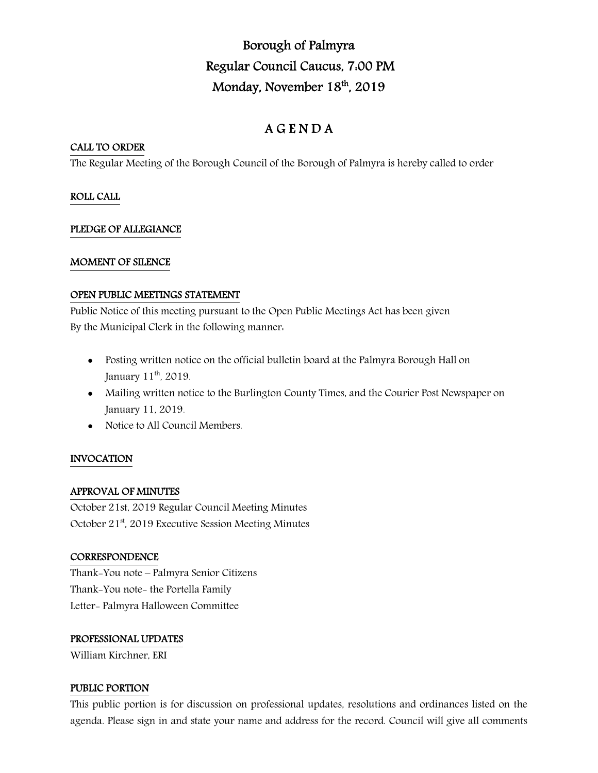# Borough of Palmyra Regular Council Caucus, 7:00 PM Monday, November 18th, 2019

## A G E N D A

## CALL TO ORDER

The Regular Meeting of the Borough Council of the Borough of Palmyra is hereby called to order

## ROLL CALL

## PLEDGE OF ALLEGIANCE

## MOMENT OF SILENCE

## OPEN PUBLIC MEETINGS STATEMENT

Public Notice of this meeting pursuant to the Open Public Meetings Act has been given By the Municipal Clerk in the following manner:

- Posting written notice on the official bulletin board at the Palmyra Borough Hall on January 11<sup>th</sup>, 2019.
- Mailing written notice to the Burlington County Times, and the Courier Post Newspaper on January 11, 2019.
- Notice to All Council Members.

## INVOCATION

## APPROVAL OF MINUTES

October 21st, 2019 Regular Council Meeting Minutes October 21<sup>st</sup>, 2019 Executive Session Meeting Minutes

### **CORRESPONDENCE**

Thank-You note – Palmyra Senior Citizens Thank-You note- the Portella Family Letter- Palmyra Halloween Committee

### PROFESSIONAL UPDATES

William Kirchner, ERI

### PUBLIC PORTION

This public portion is for discussion on professional updates, resolutions and ordinances listed on the agenda. Please sign in and state your name and address for the record. Council will give all comments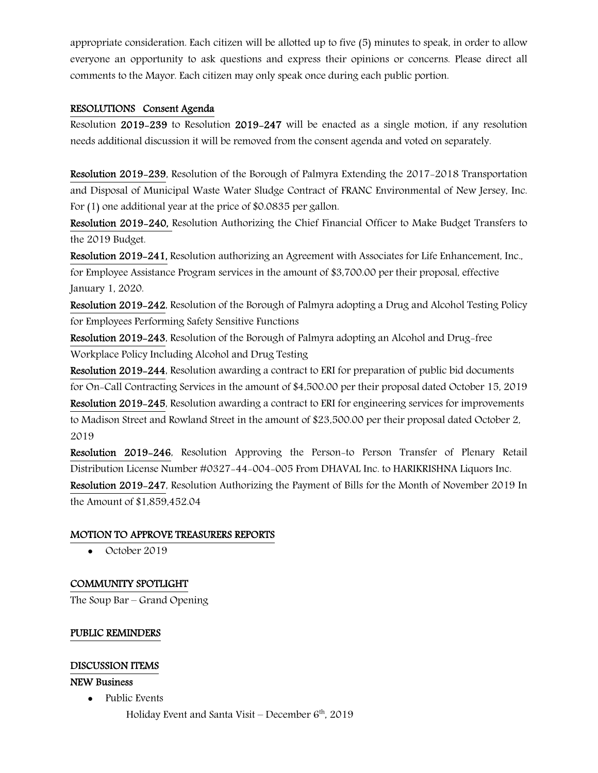appropriate consideration. Each citizen will be allotted up to five (5) minutes to speak, in order to allow everyone an opportunity to ask questions and express their opinions or concerns. Please direct all comments to the Mayor. Each citizen may only speak once during each public portion.

## RESOLUTIONS Consent Agenda

Resolution 2019-239 to Resolution 2019-247 will be enacted as a single motion, if any resolution needs additional discussion it will be removed from the consent agenda and voted on separately.

Resolution 2019-239, Resolution of the Borough of Palmyra Extending the 2017-2018 Transportation and Disposal of Municipal Waste Water Sludge Contract of FRANC Environmental of New Jersey, Inc. For (1) one additional year at the price of \$0.0835 per gallon.

Resolution 2019-240, Resolution Authorizing the Chief Financial Officer to Make Budget Transfers to the 2019 Budget.

Resolution 2019-241, Resolution authorizing an Agreement with Associates for Life Enhancement, Inc., for Employee Assistance Program services in the amount of \$3,700.00 per their proposal, effective January 1, 2020.

Resolution 2019-242, Resolution of the Borough of Palmyra adopting a Drug and Alcohol Testing Policy for Employees Performing Safety Sensitive Functions

Resolution 2019-243, Resolution of the Borough of Palmyra adopting an Alcohol and Drug-free Workplace Policy Including Alcohol and Drug Testing

Resolution 2019-244, Resolution awarding a contract to ERI for preparation of public bid documents for On-Call Contracting Services in the amount of \$4,500.00 per their proposal dated October 15, 2019 Resolution 2019-245, Resolution awarding a contract to ERI for engineering services for improvements to Madison Street and Rowland Street in the amount of \$23,500.00 per their proposal dated October 2, 2019

Resolution 2019-246, Resolution Approving the Person-to Person Transfer of Plenary Retail Distribution License Number #0327-44-004-005 From DHAVAL Inc. to HARIKRISHNA Liquors Inc. Resolution 2019-247, Resolution Authorizing the Payment of Bills for the Month of November 2019 In the Amount of \$1,859,452.04

## MOTION TO APPROVE TREASURERS REPORTS

• October 2019

## COMMUNITY SPOTLIGHT

The Soup Bar – Grand Opening

## PUBLIC REMINDERS

### DISCUSSION ITEMS

### NEW Business

• Public Events

Holiday Event and Santa Visit – December  $6<sup>th</sup>$ , 2019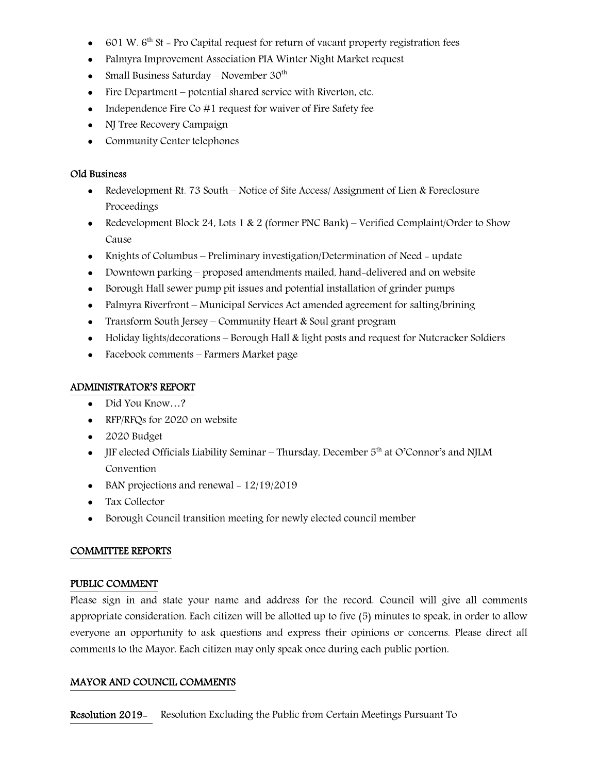- $\bullet$  601 W. 6<sup>th</sup> St Pro Capital request for return of vacant property registration fees
- Palmyra Improvement Association PIA Winter Night Market request
- Small Business Saturday November  $30<sup>th</sup>$
- Fire Department potential shared service with Riverton, etc.
- Independence Fire Co  $#1$  request for waiver of Fire Safety fee
- NJ Tree Recovery Campaign
- Community Center telephones

### Old Business

- Redevelopment Rt. 73 South Notice of Site Access/ Assignment of Lien & Foreclosure Proceedings
- Redevelopment Block 24, Lots 1 & 2 (former PNC Bank) Verified Complaint/Order to Show Cause
- Knights of Columbus Preliminary investigation/Determination of Need update
- Downtown parking proposed amendments mailed, hand-delivered and on website
- Borough Hall sewer pump pit issues and potential installation of grinder pumps
- Palmyra Riverfront Municipal Services Act amended agreement for salting/brining
- Transform South Jersey Community Heart & Soul grant program
- Holiday lights/decorations Borough Hall & light posts and request for Nutcracker Soldiers
- Facebook comments Farmers Market page

### ADMINISTRATOR'S REPORT

- Did You Know…?
- RFP/RFQs for 2020 on website
- 2020 Budget
- JIF elected Officials Liability Seminar Thursday, December  $5<sup>th</sup>$  at O'Connor's and NJLM Convention
- $\bullet$  BAN projections and renewal 12/19/2019
- Tax Collector
- Borough Council transition meeting for newly elected council member

### COMMITTEE REPORTS

#### PUBLIC COMMENT

Please sign in and state your name and address for the record. Council will give all comments appropriate consideration. Each citizen will be allotted up to five (5) minutes to speak, in order to allow everyone an opportunity to ask questions and express their opinions or concerns. Please direct all comments to the Mayor. Each citizen may only speak once during each public portion.

## MAYOR AND COUNCIL COMMENTS

Resolution 2019- Resolution Excluding the Public from Certain Meetings Pursuant To